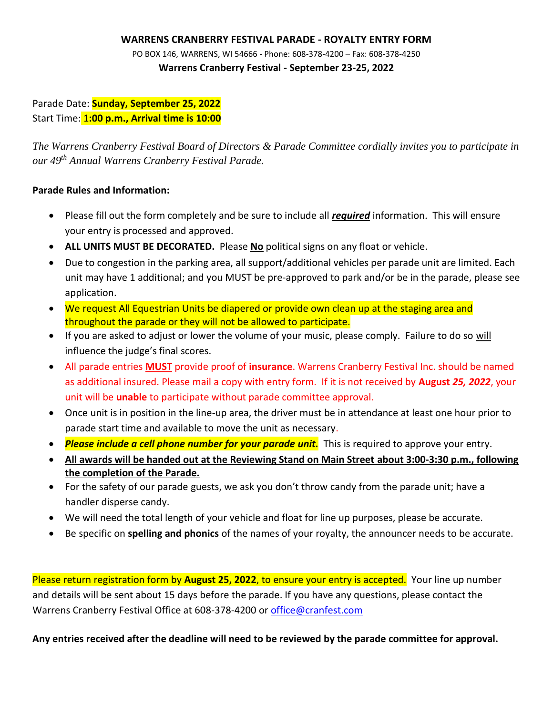## **WARRENS CRANBERRY FESTIVAL PARADE - ROYALTY ENTRY FORM**

PO BOX 146, WARRENS, WI 54666 - Phone: 608-378-4200 – Fax: 608-378-4250 **Warrens Cranberry Festival - September 23-25, 2022**

Parade Date: **Sunday, September 25, 2022** Start Time: 1**:00 p.m., Arrival time is 10:00**

*The Warrens Cranberry Festival Board of Directors & Parade Committee cordially invites you to participate in our 49 th Annual Warrens Cranberry Festival Parade.* 

## **Parade Rules and Information:**

- Please fill out the form completely and be sure to include all *required* information. This will ensure your entry is processed and approved.
- **ALL UNITS MUST BE DECORATED.** Please **No** political signs on any float or vehicle.
- Due to congestion in the parking area, all support/additional vehicles per parade unit are limited. Each unit may have 1 additional; and you MUST be pre-approved to park and/or be in the parade, please see application.
- We request All Equestrian Units be diapered or provide own clean up at the staging area and throughout the parade or they will not be allowed to participate.
- If you are asked to adjust or lower the volume of your music, please comply. Failure to do so will influence the judge's final scores.
- All parade entries **MUST** provide proof of **insurance**. Warrens Cranberry Festival Inc. should be named as additional insured. Please mail a copy with entry form. If it is not received by **August** *25, 2022*, your unit will be **unable** to participate without parade committee approval.
- Once unit is in position in the line-up area, the driver must be in attendance at least one hour prior to parade start time and available to move the unit as necessary.
- *Please include a cell phone number for your parade unit.* This is required to approve your entry.
- **All awards will be handed out at the Reviewing Stand on Main Street about 3:00-3:30 p.m., following the completion of the Parade.**
- For the safety of our parade guests, we ask you don't throw candy from the parade unit; have a handler disperse candy.
- We will need the total length of your vehicle and float for line up purposes, please be accurate.
- Be specific on **spelling and phonics** of the names of your royalty, the announcer needs to be accurate.

Please return registration form by **August 25, 2022**, to ensure your entry is accepted. Your line up number and details will be sent about 15 days before the parade. If you have any questions, please contact the Warrens Cranberry Festival Office at 608-378-4200 or [office@cranfest.com](mailto:office@cranfest.com)

**Any entries received after the deadline will need to be reviewed by the parade committee for approval.**